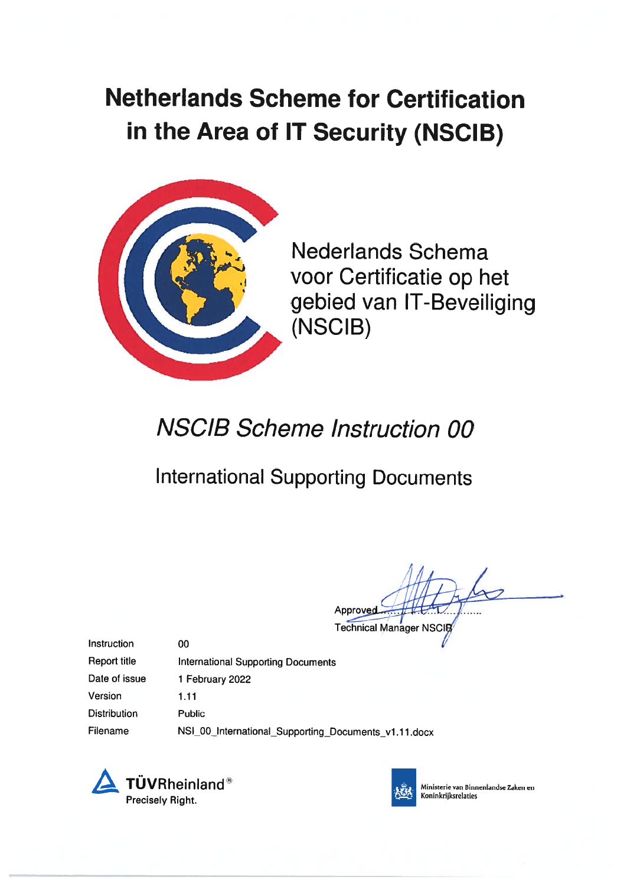# Netherlands Scheme for Certification in the Area of IT Security (NSCIB)



Nederlands Schema voor Certificatie op het gebied van IT-Beveiliging (NSCIB)

# NSCIB Scheme Instruction 00

# International Supporting Documents

Approved

**Technical Manager NSCIB** 

Instruction Report title

International Supporting Documents 1 February 2022 1.11

Version **Distribution** 

Date of issue

Public

00

Filename NSI\_00\_International\_Supporting\_Documents\_v1.11.docx





 Ministerie van Binnenlandse Zaken en 4 Koninkrijksrelaties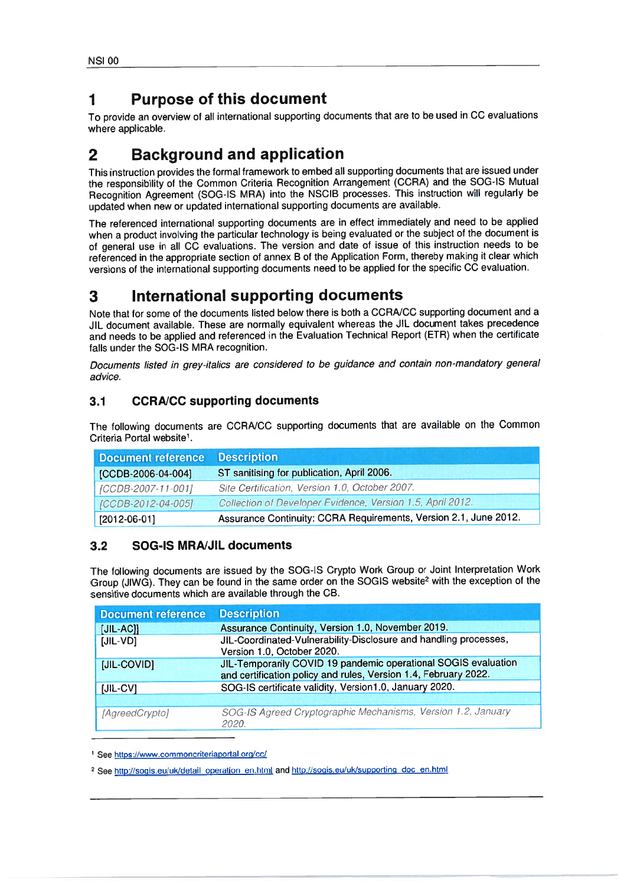### 1Purpose of this document

### 2Background and application

### 3International supporting documents

#### 3.1CCRAJCC supporting documents

| <b>Document reference</b> | <b>Description</b>                                               |
|---------------------------|------------------------------------------------------------------|
| [CCDB-2006-04-004]        | ST sanitising for publication, April 2006.                       |
| [CCDB-2007-11-001]        | Site Certification, Version 1.0, October 2007.                   |
| [CCDB-2012-04-005]        | Collection of Developer Evidence, Version 1.5, April 2012.       |
| $[2012-06-01]$            | Assurance Continuity: CCRA Requirements, Version 2.1, June 2012. |

#### 3.2SOG-IS MRAJJIL documents

| ISI 00                                                                                                                                                                                                                                                                                                                                                                                                                                                     |                                                                                                                                                                                                                                                                                                                                                                                                                                                                                                                                       |  |
|------------------------------------------------------------------------------------------------------------------------------------------------------------------------------------------------------------------------------------------------------------------------------------------------------------------------------------------------------------------------------------------------------------------------------------------------------------|---------------------------------------------------------------------------------------------------------------------------------------------------------------------------------------------------------------------------------------------------------------------------------------------------------------------------------------------------------------------------------------------------------------------------------------------------------------------------------------------------------------------------------------|--|
|                                                                                                                                                                                                                                                                                                                                                                                                                                                            | <b>Purpose of this document</b>                                                                                                                                                                                                                                                                                                                                                                                                                                                                                                       |  |
| here applicable.                                                                                                                                                                                                                                                                                                                                                                                                                                           | o provide an overview of all international supporting documents that are to be used in CC evaluations                                                                                                                                                                                                                                                                                                                                                                                                                                 |  |
|                                                                                                                                                                                                                                                                                                                                                                                                                                                            | <b>Background and application</b>                                                                                                                                                                                                                                                                                                                                                                                                                                                                                                     |  |
|                                                                                                                                                                                                                                                                                                                                                                                                                                                            | his instruction provides the formal framework to embed all supporting documents that are issued under<br>ne responsibility of the Common Criteria Recognition Arrangement (CCRA) and the SOG-IS Mutual<br>Recognition Agreement (SOG-IS MRA) into the NSCIB processes. This instruction will regularly be<br>pdated when new or updated international supporting documents are available.                                                                                                                                             |  |
|                                                                                                                                                                                                                                                                                                                                                                                                                                                            | he referenced international supporting documents are in effect immediately and need to be applied<br>then a product involving the particular technology is being evaluated or the subject of the document is<br>if general use in all CC evaluations. The version and date of issue of this instruction needs to be<br>eferenced in the appropriate section of annex B of the Application Form, thereby making it clear which<br>ersions of the international supporting documents need to be applied for the specific CC evaluation. |  |
|                                                                                                                                                                                                                                                                                                                                                                                                                                                            | International supporting documents                                                                                                                                                                                                                                                                                                                                                                                                                                                                                                    |  |
| lote that for some of the documents listed below there is both a CCRA/CC supporting document and a<br>IL document available. These are normally equivalent whereas the JIL document takes precedence<br>ind needs to be applied and referenced in the Evaluation Technical Report (ETR) when the certificate<br>alls under the SOG-IS MRA recognition.<br>Documents listed in grey-italics are considered to be guidance and contain non-mandatory general |                                                                                                                                                                                                                                                                                                                                                                                                                                                                                                                                       |  |
| advice.<br>3.1                                                                                                                                                                                                                                                                                                                                                                                                                                             | <b>CCRA/CC supporting documents</b>                                                                                                                                                                                                                                                                                                                                                                                                                                                                                                   |  |
|                                                                                                                                                                                                                                                                                                                                                                                                                                                            |                                                                                                                                                                                                                                                                                                                                                                                                                                                                                                                                       |  |
|                                                                                                                                                                                                                                                                                                                                                                                                                                                            | The following documents are CCRA/CC supporting documents that are available on the Common                                                                                                                                                                                                                                                                                                                                                                                                                                             |  |
| <b>Document reference</b>                                                                                                                                                                                                                                                                                                                                                                                                                                  | <b>Description</b>                                                                                                                                                                                                                                                                                                                                                                                                                                                                                                                    |  |
| [CCDB-2006-04-004]                                                                                                                                                                                                                                                                                                                                                                                                                                         | ST sanitising for publication, April 2006.                                                                                                                                                                                                                                                                                                                                                                                                                                                                                            |  |
| [CCDB-2007-11-001]                                                                                                                                                                                                                                                                                                                                                                                                                                         | Site Certification, Version 1.0, October 2007.                                                                                                                                                                                                                                                                                                                                                                                                                                                                                        |  |
| [CCDB-2012-04-005]                                                                                                                                                                                                                                                                                                                                                                                                                                         | Collection of Developer Evidence, Version 1.5, April 2012.                                                                                                                                                                                                                                                                                                                                                                                                                                                                            |  |
| $[2012-06-01]$                                                                                                                                                                                                                                                                                                                                                                                                                                             | Assurance Continuity: CCRA Requirements, Version 2.1, June 2012.                                                                                                                                                                                                                                                                                                                                                                                                                                                                      |  |
| Criteria Portal website <sup>1</sup> .<br><b>SOG-IS MRA/JIL documents</b><br>3.2                                                                                                                                                                                                                                                                                                                                                                           | The following documents are issued by the SOG-IS Crypto Work Group or Joint Interpretation Work                                                                                                                                                                                                                                                                                                                                                                                                                                       |  |
|                                                                                                                                                                                                                                                                                                                                                                                                                                                            | sensitive documents which are available through the CB.                                                                                                                                                                                                                                                                                                                                                                                                                                                                               |  |
| <b>Document reference</b>                                                                                                                                                                                                                                                                                                                                                                                                                                  | <b>Description</b>                                                                                                                                                                                                                                                                                                                                                                                                                                                                                                                    |  |
| $[JIL-AC]]$                                                                                                                                                                                                                                                                                                                                                                                                                                                | Group (JIWG). They can be found in the same order on the SOGIS website <sup>2</sup> with the exception of the<br>Assurance Continuity, Version 1.0, November 2019.                                                                                                                                                                                                                                                                                                                                                                    |  |
| $[JIL-VD]$                                                                                                                                                                                                                                                                                                                                                                                                                                                 | JIL-Coordinated-Vulnerability-Disclosure and handling processes,                                                                                                                                                                                                                                                                                                                                                                                                                                                                      |  |
| [JIL-COVID]                                                                                                                                                                                                                                                                                                                                                                                                                                                | Version 1.0, October 2020.<br>JIL-Temporarily COVID 19 pandemic operational SOGIS evaluation                                                                                                                                                                                                                                                                                                                                                                                                                                          |  |
|                                                                                                                                                                                                                                                                                                                                                                                                                                                            | and certification policy and rules, Version 1.4, February 2022.                                                                                                                                                                                                                                                                                                                                                                                                                                                                       |  |
| $[JIL-CV]$                                                                                                                                                                                                                                                                                                                                                                                                                                                 | SOG-IS certificate validity, Version1.0, January 2020.                                                                                                                                                                                                                                                                                                                                                                                                                                                                                |  |

See <u>https://www.commoncriteriaportal.org/cc/</u>

<sup>2</sup> See http://sogis.eu/uk/detail operation en.html and http://sogis.eu/uk/supporting doc en.htm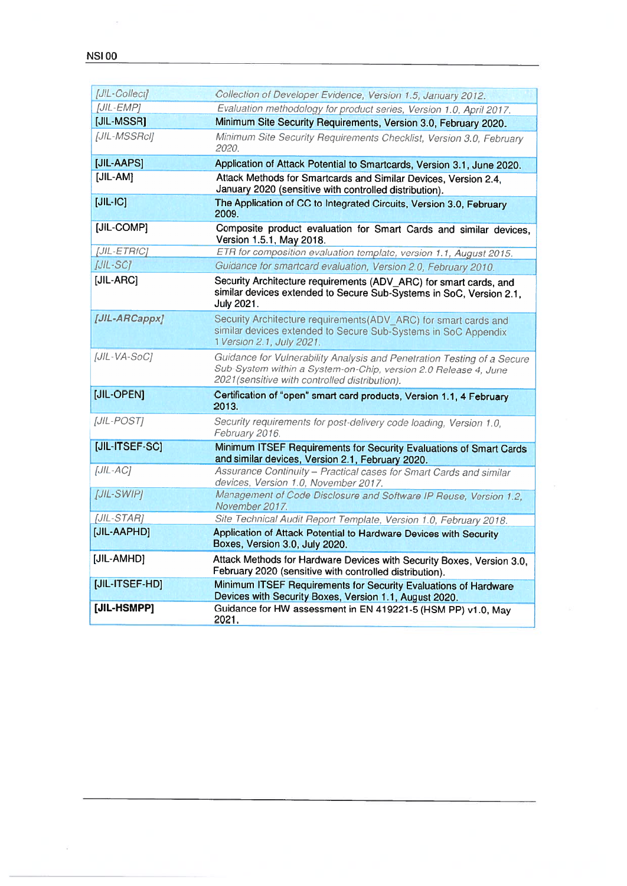$\frac{1}{2}$ 

| VSI 00            |                                                                                                                                                                                              |
|-------------------|----------------------------------------------------------------------------------------------------------------------------------------------------------------------------------------------|
|                   |                                                                                                                                                                                              |
| [JIL-Collect]     | Collection of Developer Evidence, Version 1.5, January 2012.                                                                                                                                 |
| [JIL-EMP]         | Evaluation methodology for product series, Version 1.0, April 2017.                                                                                                                          |
| [JIL-MSSR]        | Minimum Site Security Requirements, Version 3.0, February 2020.                                                                                                                              |
| [JIL-MSSRcI]      | Minimum Site Security Requirements Checklist, Version 3.0, February<br>2020.                                                                                                                 |
| [JIL-AAPS]        | Application of Attack Potential to Smartcards, Version 3.1, June 2020.                                                                                                                       |
| [JIL-AM]          | Attack Methods for Smartcards and Similar Devices, Version 2.4,<br>January 2020 (sensitive with controlled distribution).                                                                    |
| $[JIL-IC]$        | The Application of CC to Integrated Circuits, Version 3.0, February<br>2009.                                                                                                                 |
| [JIL-COMP]        | Composite product evaluation for Smart Cards and similar devices,<br>Version 1.5.1, May 2018.                                                                                                |
| [JIL-ETRfC]       | ETR for composition evaluation template, version 1.1, August 2015.                                                                                                                           |
| [JIL-SC]          | Guidance for smartcard evaluation, Version 2.0, February 2010.                                                                                                                               |
| [JIL-ARC]         | Security Architecture requirements (ADV_ARC) for smart cards, and<br>similar devices extended to Secure Sub-Systems in SoC, Version 2.1,<br>July 2021.                                       |
| [JIL-ARCappx]     | Security Architecture requirements(ADV_ARC) for smart cards and<br>similar devices extended to Secure Sub-Systems in SoC Appendix<br>1 Version 2.1, July 2021.                               |
| [JIL-VA-SoC]      | Guidance for Vulnerability Analysis and Penetration Testing of a Secure<br>Sub-System within a System-on-Chip, version 2.0 Release 4, June<br>2021 (sensitive with controlled distribution). |
| [JIL-OPEN]        | Certification of "open" smart card products, Version 1.1, 4 February<br>2013.                                                                                                                |
| [JIL-POST]        | Security requirements for post-delivery code loading, Version 1.0,<br>February 2016.                                                                                                         |
| [JIL-ITSEF-SC]    | Minimum ITSEF Requirements for Security Evaluations of Smart Cards<br>and similar devices, Version 2.1, February 2020.                                                                       |
| [JIL-AC]          | Assurance Continuity – Practical cases for Smart Cards and similar<br>devices, Version 1.0, November 2017.                                                                                   |
| <b>JJIL-SWIPI</b> | Management of Code Disclosure and Software IP Reuse, Version 1.2,<br>November 2017.                                                                                                          |
| [JIL-STAR]        | Site Technical Audit Report Template, Version 1.0, February 2018.                                                                                                                            |
| [JIL-AAPHD]       | Application of Attack Potential to Hardware Devices with Security<br>Boxes, Version 3.0, July 2020.                                                                                          |
| [JIL-AMHD]        | Attack Methods for Hardware Devices with Security Boxes, Version 3.0,<br>February 2020 (sensitive with controlled distribution).                                                             |
| [JIL-ITSEF-HD]    | Minimum ITSEF Requirements for Security Evaluations of Hardware<br>Devices with Security Boxes, Version 1.1, August 2020.                                                                    |
| [JIL-HSMPP]       | Guidance for HW assessment in EN 419221-5 (HSM PP) v1.0, May<br>2021.                                                                                                                        |